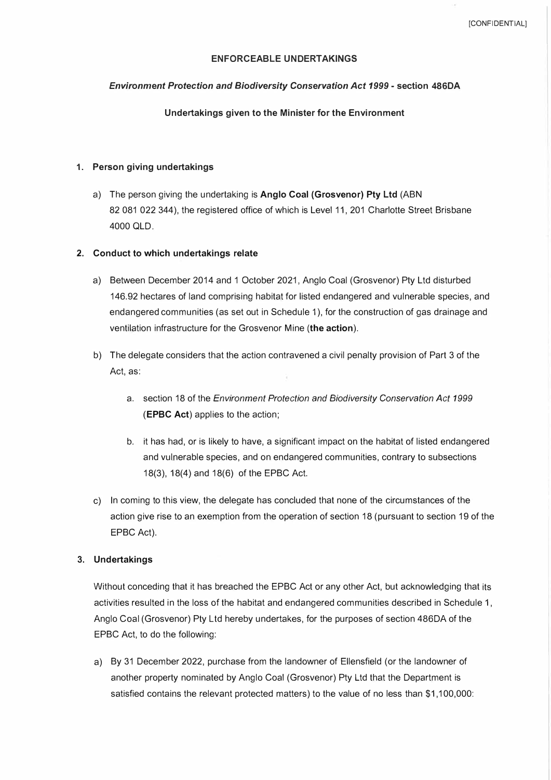# **ENFORCEABLE UNDERTAKINGS**

### *Environment Protection and Biodiversity Conservation Act 1999* **- section 486DA**

### **Undertakings given to the Minister for the Environment**

## **1. Person giving undertakings**

a) The person giving the undertaking is **Anglo Coal (Grosvenor) Pty Ltd** (ABN 82 081 022 344), the registered office of which is Level 11, 201 Charlotte Street Brisbane 4000 OLD.

## **2. Conduct to which undertakings relate**

- a) Between December 2014 and 1 October 2021, Anglo Coal (Grosvenor) Pty Ltd disturbed 146.92 hectares of land comprising habitat for listed endangered and vulnerable species, and endangered communities (as set out in Schedule 1 ), for the construction of gas drainage and ventilation infrastructure for the Grosvenor Mine **(the action).**
- b) The delegate considers that the action contravened a civil penalty provision of Part 3 of the Act, as:
	- a. section 18 of the *Environment Protection and Biodiversity Conservation Act 1999* **(EPBC Act)** applies to the action;
	- b. it has had, or is likely to have, a significant impact on the habitat of listed endangered and vulnerable species, and on endangered communities, contrary to subsections 18(3), 18(4) and 18(6) of the EPBC Act.
- c) In coming to this view, the delegate has concluded that none of the circumstances of the action give rise to an exemption from the operation of section 18 (pursuant to section 19 of the EPBC Act).

### **3. Undertakings**

Without conceding that it has breached the EPBC Act or any other Act, but acknowledging that its activities resulted in the loss of the habitat and endangered communities described in Schedule 1, Anglo Coal (Grosvenor) Pty Ltd hereby undertakes, for the purposes of section 486DA of the EPBC Act, to do the following:

a) By 31 December 2022, purchase from the landowner of Ellensfield (or the landowner of another property nominated by Anglo Coal (Grosvenor) Pty Ltd that the Department is satisfied contains the relevant protected matters) to the value of no less than \$1,100,000: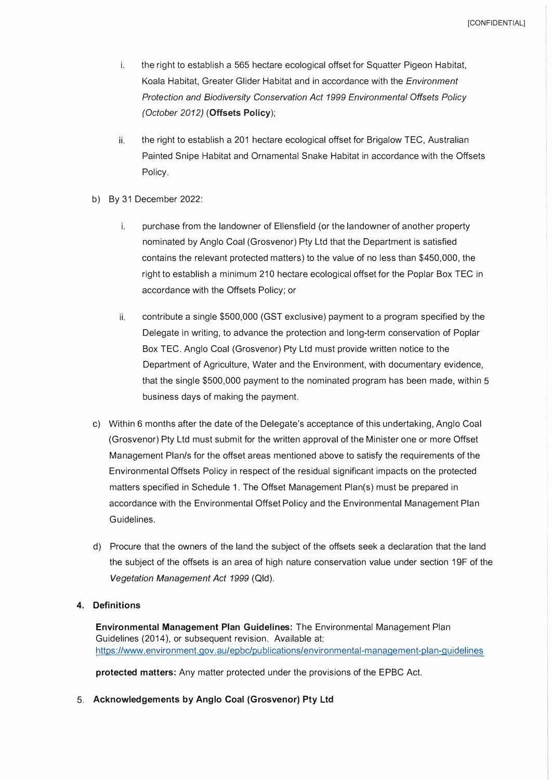- *i. the right to establish a 565 hectare ecological offset for Squatter Pigeon Habitat, Koala Habitat, Greater Glider Habitat and in accordance with the Environment Protection and Biodiversity Conservation Act 1999 Environmental Offsets Policy (October 2012) (Offsets Policy);*
- *ii. the right to establish a 201 hectare ecological offset for Brigalow TEC, Australian Painted Snipe Habitat and Ornamental Snake Habitat in accordance with the Offsets Policy.*
- *b) By 31 December 2022:*
	- *i. purchase from the landowner of Ellensfield (or the landowner of another property nominated by Anglo Coal (Grosvenor) Pty Ltd that the Department is satisfied contains the relevant protected matters) to the value of no less than \$450,000, the right to establish a minimum 210 hectare ecological offset for the Poplar Box TEC in accordance with the Offsets Policy; or*
	- *ii. contribute a single \$500,000 (GST exclusive) payment to a program specified by the Delegate in writing, to advance the protection and long-term conservation of Poplar Box TEC. Anglo Coal (Grosvenor) Pty Ltd must provide written notice to the Department of Agriculture, Water and the Environment, with documentary evidence, that the single \$500,000 payment to the nominated program has been made, within 5 business days of making the payment.*
- *c) Within 6 months after the date of the Delegate's acceptance of this undertaking, Anglo Coal (Grosvenor) Pty Ltd must submit for the written approval of the Minister one or more Offset Management Plan/s for the offset areas mentioned above to satisfy the requirements of the Environmental Offsets Policy in respect of the residual significant impacts on the protected matters specified in Schedule 1. The Offset Management Plan(s) must be prepared in accordance with the Environmental Offset Policy and the Environmental Management Plan Guidelines.*
- *d) Procure that the owners of the land the subject of the offsets seek a declaration that the land the subject of the offsets is an area of high nature conservation value under section 19F of the Vegetation Management Act 1999 (Qld).*

## *4. Definitions*

*Environmental Management Plan Guidelines: The Environmental Management Plan Guidelines (2014 ), or subsequent revision. Available at: https ://www. e nvi ro nm ent. gov. au/ epbc/pu bi ications/ environ me nta I-man age me nt-p la n-g u i deli nes*

*protected matters: Any matter protected under the provisions of the EPBC Act.*

*5. Acknowledgements by Anglo Coal (Grosvenor) Pty Ltd*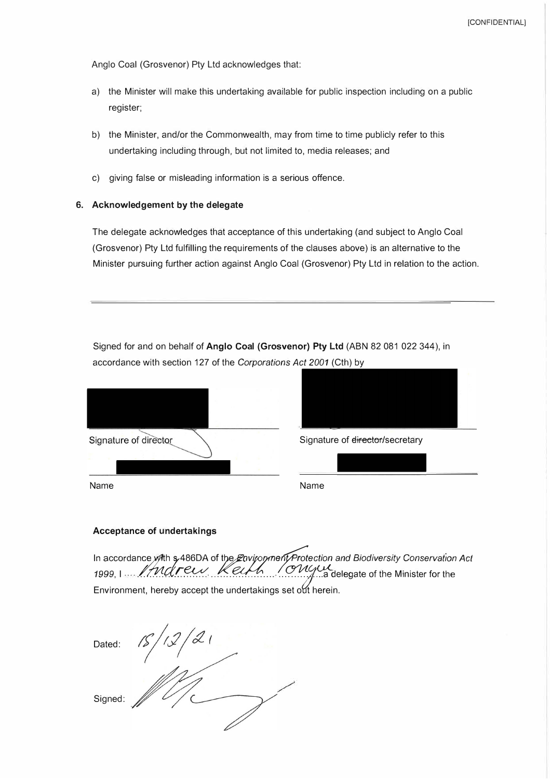*Anglo Coal (Grosvenor) Pty Ltd acknowledges that:* 

- *a) the Minister will make this undertaking available for public inspection including on a public register;*
- *b) the Minister, and/or the Commonwealth, may from time to time publicly refer to this undertaking including through, but not limited to, media releases; and*
- *c) giving false or misleading information is a serious offence.*

## **6. Acknowledgement by the delegate**

*The delegate acknowledges that acceptance of this undertaking (and subject to Anglo Coal (Grosvenor) Pty Ltd fulfilling the requirements of the clauses above) is an alternative to the Minister pursuing further action against Anglo Coal (Grosvenor) Pty Ltd in relation to the action.*

*Signed for and on behalf of* **Anglo Coal (Grosvenor) Pty Ltd** *(ABN 82 081 022 344), in accordance with section 127 of the Corporations Act 2001 (Cth) by* 

| Signature of director | Signat |
|-----------------------|--------|
|                       |        |
| Name                  | Name   |



Signature of director/secretary

# **Acceptance of undertakings**

in accordance with \$486DA of the *Etivisophient Protection and Biodiversity Conservation Act*<br>1999, I ... //Malflew://Keumington.com/addelegate of the Minister for the In accordance with s 486DA of the Environment Protection and Biodiversity Conservation Act *Environment, hereby accept the undertakings set o{!t herein.*

 $\frac{15}{12}$ *Dated: Signed:*